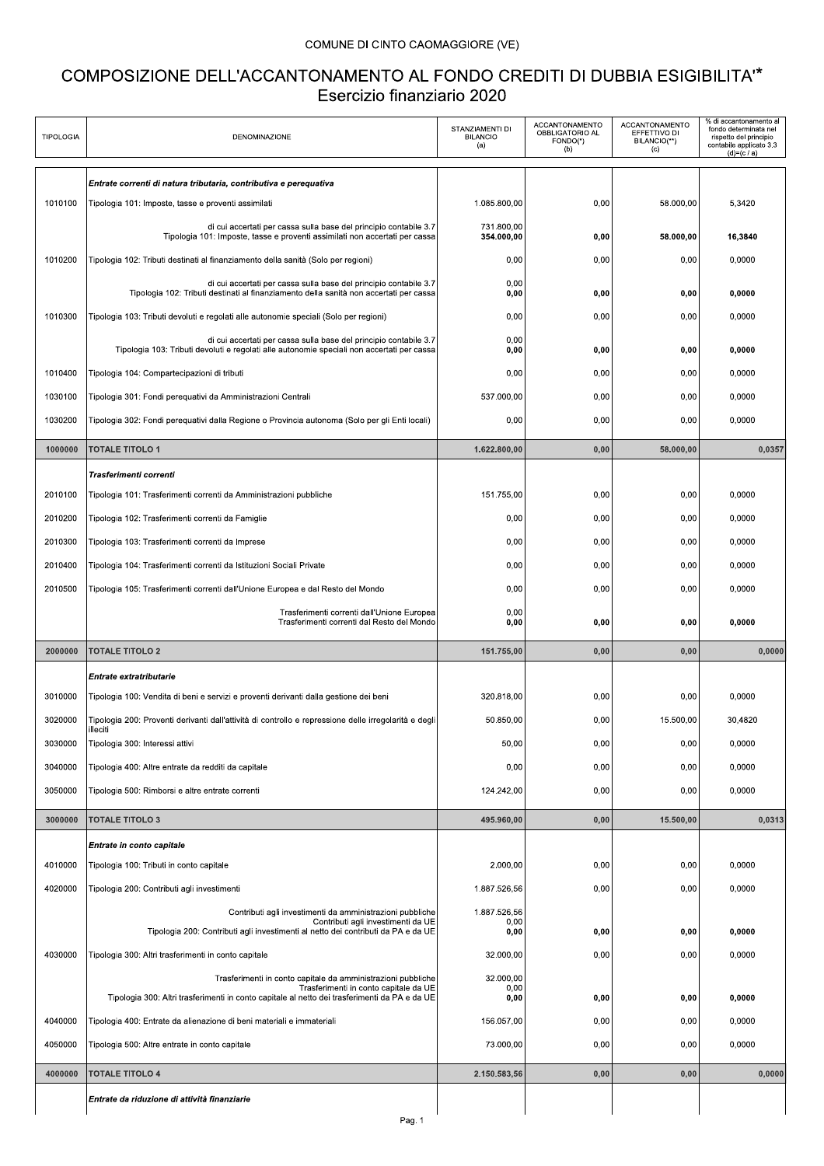## COMUNE DI CINTO CAOMAGGIORE (VE)

## COMPOSIZIONE DELL'ACCANTONAMENTO AL FONDO CREDITI DI DUBBIA ESIGIBILITA"\* Esercizio finanziario 2020

| <b>TIPOLOGIA</b> | DENOMINAZIONE                                                                                                                                                                                          | STANZIAMENTI DI<br><b>BILANCIO</b><br>(a) | ACCANTONAMENTO<br>OBBLIGATORIO AL<br>FONDO(*)<br>(b) | ACCANTONAMENTO<br>EFFETTIVO DI<br>BILANCIO(**)<br>(c) | % di accantonamento al<br>fondo determinata nel<br>rispetto del principio<br>contabile applicato 3.3<br>$(d)=(c/a)$ |
|------------------|--------------------------------------------------------------------------------------------------------------------------------------------------------------------------------------------------------|-------------------------------------------|------------------------------------------------------|-------------------------------------------------------|---------------------------------------------------------------------------------------------------------------------|
|                  | Entrate correnti di natura tributaria, contributiva e perequativa                                                                                                                                      |                                           |                                                      |                                                       |                                                                                                                     |
| 1010100          | Tipologia 101: Imposte, tasse e proventi assimilati                                                                                                                                                    | 1.085.800,00                              | 0,00                                                 | 58.000,00                                             | 5,3420                                                                                                              |
|                  | di cui accertati per cassa sulla base del principio contabile 3.7<br>Tipologia 101: Imposte, tasse e proventi assimilati non accertati per cassa                                                       | 731.800,00<br>354.000,00                  | 0,00                                                 | 58.000,00                                             | 16,3840                                                                                                             |
| 1010200          | Tipologia 102: Tributi destinati al finanziamento della sanità (Solo per regioni)                                                                                                                      | 0,00                                      | 0,00                                                 | 0,00                                                  | 0,0000                                                                                                              |
|                  | di cui accertati per cassa sulla base del principio contabile 3.7                                                                                                                                      | 0,00                                      |                                                      |                                                       |                                                                                                                     |
|                  | Tipologia 102: Tributi destinati al finanziamento della sanità non accertati per cassa                                                                                                                 | 0,00                                      | 0,00                                                 | 0,00                                                  | 0,0000                                                                                                              |
| 1010300          | Tipologia 103: Tributi devoluti e regolati alle autonomie speciali (Solo per regioni)                                                                                                                  | 0,00                                      | 0,00                                                 | 0,00                                                  | 0,0000                                                                                                              |
|                  | di cui accertati per cassa sulla base del principio contabile 3.7<br>Tipologia 103: Tributi devoluti e regolati alle autonomie speciali non accertati per cassa                                        | 0,00<br>0,00                              | 0,00                                                 | 0,00                                                  | 0,0000                                                                                                              |
| 1010400          | Tipologia 104: Compartecipazioni di tributi                                                                                                                                                            | 0,00                                      | 0,00                                                 | 0,00                                                  | 0,0000                                                                                                              |
| 1030100          | Tipologia 301: Fondi perequativi da Amministrazioni Centrali                                                                                                                                           | 537.000,00                                | 0,00                                                 | 0,00                                                  | 0,0000                                                                                                              |
| 1030200          | Tipologia 302: Fondi perequativi dalla Regione o Provincia autonoma (Solo per gli Enti locali)                                                                                                         | 0,00                                      | 0,00                                                 | 0,00                                                  | 0,0000                                                                                                              |
| 1000000          | <b>TOTALE TITOLO 1</b>                                                                                                                                                                                 | 1.622.800,00                              | 0,00                                                 | 58.000,00                                             | 0,0357                                                                                                              |
|                  | Trasferimenti correnti                                                                                                                                                                                 |                                           |                                                      |                                                       |                                                                                                                     |
| 2010100          | Tipologia 101: Trasferimenti correnti da Amministrazioni pubbliche                                                                                                                                     | 151.755,00                                | 0,00                                                 | 0,00                                                  | 0.0000                                                                                                              |
| 2010200          | Tipologia 102: Trasferimenti correnti da Famiglie                                                                                                                                                      | 0,00                                      | 0,00                                                 | 0,00                                                  | 0,0000                                                                                                              |
| 2010300          | Tipologia 103: Trasferimenti correnti da Imprese                                                                                                                                                       | 0,00                                      | 0,00                                                 | 0,00                                                  | 0,0000                                                                                                              |
| 2010400          | Tipologia 104: Trasferimenti correnti da Istituzioni Sociali Private                                                                                                                                   | 0,00                                      | 0,00                                                 | 0,00                                                  | 0,0000                                                                                                              |
| 2010500          | Tipologia 105: Trasferimenti correnti dall'Unione Europea e dal Resto del Mondo                                                                                                                        | 0,00                                      | 0,00                                                 | 0,00                                                  | 0,0000                                                                                                              |
|                  | Trasferimenti correnti dall'Unione Europea<br>Trasferimenti correnti dal Resto del Mondo                                                                                                               | 0,00<br>0,00                              | 0,00                                                 | 0.00                                                  | 0,0000                                                                                                              |
| 2000000          | <b>TOTALE TITOLO 2</b>                                                                                                                                                                                 | 151.755,00                                | 0,00                                                 | 0,00                                                  | 0,0000                                                                                                              |
|                  | Entrate extratributarie                                                                                                                                                                                |                                           |                                                      |                                                       |                                                                                                                     |
| 3010000          |                                                                                                                                                                                                        |                                           |                                                      |                                                       |                                                                                                                     |
|                  | Tipologia 100: Vendita di beni e servizi e proventi derivanti dalla gestione dei beni                                                                                                                  | 320.818.00                                | 0,00                                                 | 0,00                                                  | 0,0000                                                                                                              |
| 3020000          | Tipologia 200: Proventi derivanti dall'attività di controllo e repressione delle irregolarità e degli                                                                                                  | 50.850,00                                 | 0,00                                                 | 15.500,00                                             | 30,4820                                                                                                             |
| 3030000          | illeciti<br>Tipologia 300: Interessi attivi                                                                                                                                                            | 50,00                                     | 0,00                                                 | 0,00                                                  | 0,0000                                                                                                              |
| 3040000          | Tipologia 400: Altre entrate da redditi da capitale                                                                                                                                                    | 0,00                                      | 0,00                                                 | 0,00                                                  | 0,0000                                                                                                              |
| 3050000          | Tipologia 500: Rimborsi e altre entrate correnti                                                                                                                                                       | 124.242,00                                | 0,00                                                 | 0,00                                                  | 0,0000                                                                                                              |
| 3000000          | <b>TOTALE TITOLO 3</b>                                                                                                                                                                                 | 495.960,00                                | 0,00                                                 | 15.500,00                                             | 0,0313                                                                                                              |
|                  | Entrate in conto capitale                                                                                                                                                                              |                                           |                                                      |                                                       |                                                                                                                     |
| 4010000          | Tipologia 100: Tributi in conto capitale                                                                                                                                                               | 2.000,00                                  | 0,00                                                 | 0,00                                                  | 0,0000                                                                                                              |
| 4020000          | Tipologia 200: Contributi agli investimenti                                                                                                                                                            | 1.887.526,56                              | 0,00                                                 | 0,00                                                  | 0,0000                                                                                                              |
|                  | Contributi agli investimenti da amministrazioni pubbliche<br>Contributi agli investimenti da UE                                                                                                        | 1.887.526,56<br>0,00                      |                                                      |                                                       |                                                                                                                     |
|                  | Tipologia 200: Contributi agli investimenti al netto dei contributi da PA e da UE                                                                                                                      | 0,00                                      | 0,00                                                 | 0,00                                                  | 0,0000                                                                                                              |
| 4030000          | Tipologia 300: Altri trasferimenti in conto capitale                                                                                                                                                   | 32.000,00                                 | 0,00                                                 | 0,00                                                  | 0,0000                                                                                                              |
|                  | Trasferimenti in conto capitale da amministrazioni pubbliche<br>Trasferimenti in conto capitale da UE<br>Tipologia 300: Altri trasferimenti in conto capitale al netto dei trasferimenti da PA e da UE | 32.000,00<br>0,00<br>0,00                 | 0,00                                                 | 0,00                                                  | 0,0000                                                                                                              |
| 4040000          | Tipologia 400: Entrate da alienazione di beni materiali e immateriali                                                                                                                                  | 156.057,00                                | 0,00                                                 | 0,00                                                  | 0,0000                                                                                                              |
| 4050000          | Tipologia 500: Altre entrate in conto capitale                                                                                                                                                         | 73.000,00                                 | 0,00                                                 | 0,00                                                  | 0,0000                                                                                                              |
| 4000000          | <b>TOTALE TITOLO 4</b>                                                                                                                                                                                 | 2.150.583,56                              | 0,00                                                 | 0,00                                                  | 0,0000                                                                                                              |